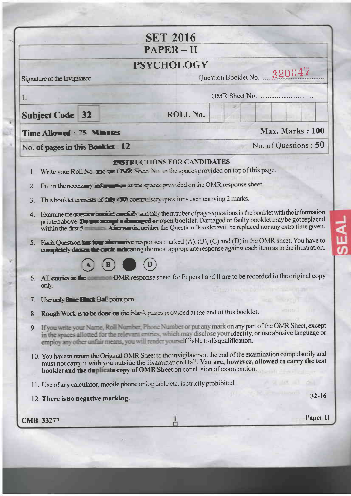|                                                                                                                                    | <b>SET 2016</b>                                                                                                                                                                                                                                      |                                                                                                                                                                                                                                                                                                                                                                                                                                                                         |
|------------------------------------------------------------------------------------------------------------------------------------|------------------------------------------------------------------------------------------------------------------------------------------------------------------------------------------------------------------------------------------------------|-------------------------------------------------------------------------------------------------------------------------------------------------------------------------------------------------------------------------------------------------------------------------------------------------------------------------------------------------------------------------------------------------------------------------------------------------------------------------|
|                                                                                                                                    | $PAPER - II$                                                                                                                                                                                                                                         |                                                                                                                                                                                                                                                                                                                                                                                                                                                                         |
|                                                                                                                                    | <b>PSYCHOLOGY</b>                                                                                                                                                                                                                                    |                                                                                                                                                                                                                                                                                                                                                                                                                                                                         |
| Signature of the Invigilator                                                                                                       |                                                                                                                                                                                                                                                      | Question Booklet No. 320047                                                                                                                                                                                                                                                                                                                                                                                                                                             |
| 1.                                                                                                                                 |                                                                                                                                                                                                                                                      |                                                                                                                                                                                                                                                                                                                                                                                                                                                                         |
| <b>Subject Code 32</b>                                                                                                             | ROLL No.                                                                                                                                                                                                                                             |                                                                                                                                                                                                                                                                                                                                                                                                                                                                         |
| Time Allowed: 75 Minutes                                                                                                           |                                                                                                                                                                                                                                                      | Max. Marks: 100                                                                                                                                                                                                                                                                                                                                                                                                                                                         |
| No. of pages in this Bookiet 12                                                                                                    |                                                                                                                                                                                                                                                      | No. of Questions: 50                                                                                                                                                                                                                                                                                                                                                                                                                                                    |
| 3.                                                                                                                                 | Fill in the necessary mixe mines at the spaces provided on the OMR response sheet.<br>This booklet consists of the 1500 compulsory questions each carrying 2 marks.                                                                                  | 4. Examine the quessing spokent specially and ally the number of pages/questions in the booklet with the information<br>printed above. Do unt accept a damaged or open booklet. Damaged or faulty booklet may be got replaced<br>5. Each Question has four alternative responses marked $(A)$ , $(B)$ , $(C)$ and $(D)$ in the OMR sheet. You have to<br>completely darium the carde indicating the most appropriate response against each item as in the illustration. |
| 6. All entries $\mathbf{m}$ the<br>only.<br>7. Use only Rime Black Ball point pen.                                                 |                                                                                                                                                                                                                                                      | OMR response sheet for Papers I and II are to be recorded in the original copy<br><b>DO-ROTOR INTO THEIR TAIMED IN</b>                                                                                                                                                                                                                                                                                                                                                  |
| 8.<br>9.<br>11. Use of any calculator, mobile phone or log table etc. is strictly prohibited.<br>12. There is no negative marking. | Rough Work is to be done on the blank pages provided at the end of this booklet.<br>employ any other unfair means, you will render yourself liable to disqualification.<br>booklet and the duplicate copy of OMR Sheet on conclusion of examination. | If you write your Name, Roll Number, Phone Number or put any mark on any part of the OMR Sheet, except<br>in the spaces allotted for the relevant entries, which may disclose your identity, or use abusive language or<br>10. You have to return the Original OMR Sheet to the invigilators at the end of the examination compulsorily and<br>must not carry it with you outside the Examination Hall. You are, however, allowed to carry the test<br>$32 - 16$        |

ä

¥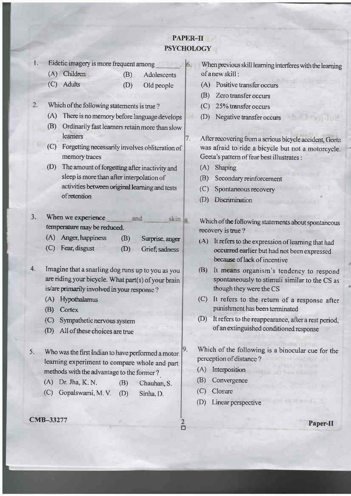# **PAPER-II PSYCHOLOGY**

 $6.$ 

7.

|  |  |  |  | Eidetic imagery is more frequent among |  |
|--|--|--|--|----------------------------------------|--|
|--|--|--|--|----------------------------------------|--|

(A) Children  $(B)$ Adolescents (C) Adults (D) Old people

#### Which of the following statements is true?  $2.$

- (A) There is no memory before language develops
- (B) Ordinarily fast learners retain more than slow learners
- (C) Forgetting necessarily involves obliteration of memory traces
- (D) The amount of forgetting after inactivity and sleep is more than after interpolation of activities between original learning and tests of retention

 $3<sub>1</sub>$ When we experience and skin le temperature may be reduced.

| Surprise, anger |
|-----------------|
|                 |

(C) Fear, disgust  $(D)$ Grief, sadness

4. Imagine that a snarling dog runs up to you as you are riding your bicycle. What part(s) of your brain is/are primarily involved in your response?

- (A) Hypothalamus
- (B) Cortex
- (C) Sympathetic nervous system
- (D) All of these choices are true
- Who was the first Indian to have performed a motor  $5.$ learning experiment to compare whole and part methods with the advantage to the former?
	- $(A)$  Dr. Jha, K. N.  $(B)$ Chauhan, S.
	- (C) Gopalswami, M.V.  $(D)$ Sinha, D.

CMB-33277

When previous skill learning interferes with the learning of a new skill:

- (A) Positive transfer occurs
- (B) Zero transfer occurs
- (C) 25% transfer occurs
- (D) Negative transfer occurs

After recovering from a serious bicycle accident, Geeta was afraid to ride a bicycle but not a motorcycle. Geeta's pattern of fear best illustrates :

- (A) Shaping
- $(B)$ Secondary reinforcement
- $(C)$ Spontaneous recovery
- (D) Discrimination

Which of the following statements about spontaneous recovery is true?

- (A) It refers to the expression of learning that had occurred earlier but had not been expressed because of lack of incentive
- (B) It means organism's tendency to respond spontaneously to stimuli similar to the CS as though they were the CS
- (C) It refers to the return of a response after punishment has been terminated
- (D) It refers to the reappearance, after a rest period, of an extinguished conditioned response
- Which of the following is a binocular cue for the perception of distance?
	- (A) Interposition
	- (B) Convergence
	- $(C)$  Closure

9.

ō

(D) Linear perspective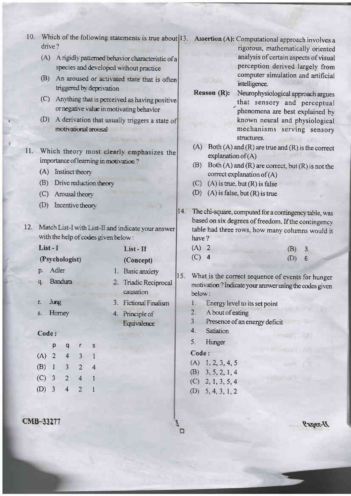- 10. Which of the following statements is true about 13. Assertion (A): Computational approach involves a drive?
	- (A) A rigidly patterned behavior characteristic of a species and developed without practice
	- (B) An aroused or activated state that is often triggered by deprivation
	- (C) Anything that is perceived as having positive or negative value in motivating behavior
	- (D) A derivation that usually triggers a state of motivational arousal
- Which theory most clearly emphasizes the  $11.$ importance of learning in motivation?
	- $(A)$  Instinct theory
	- (B) Drive reduction theory
	- (C) Arousal theory
	- (D) Incentive theory
- 12. Match List-I with List-II and indicate your answer with the help of codes given below:

List-II

(Concept)

1. Basic anxiety

causation

4. Principle of

2. Triadic Reciprocal

3. Fictional Finalism

Equivalence

# List-I

#### (Psychologist)

- p. Adler
- Bandura  $q_{\cdot}$
- Jung r.
- Horney S.

### Code:

|         | р              | q | r              | S |
|---------|----------------|---|----------------|---|
| (A)     | $\overline{2}$ | 4 | 3              | 1 |
| (B)     | $\mathbf{1}$   | 3 | $\overline{2}$ | 4 |
| $(C)$ 3 |                | 2 | 4              | 1 |
| $(D)$ 3 |                | 4 | 2              | l |

## **CMB-33277**

- rigorous, mathematically oriented analysis of certain aspects of visual perception derived largely from computer simulation and artificial intelligence.
- Neurophysiological approach argues **Reason**  $(R)$ : that sensory and perceptual phenomena are best explained by known neural and physiological mechanisms serving sensory structures.
- (A) Both  $(A)$  and  $(R)$  are true and  $(R)$  is the correct explanation of  $(A)$
- $(B)$ Both  $(A)$  and  $(R)$  are correct, but  $(R)$  is not the correct explanation of  $(A)$
- $(C)$  (A) is true, but  $(R)$  is false

**TIFORIA** 

- (D) (A) is false, but  $(R)$  is true
- 14. The chi-square, computed for a contingency table, was based on six degrees of freedom. If the contingency table had three rows, how many columns would it have?

| $(A)$ 2 | $(B)$ 3 |  |
|---------|---------|--|
| $(C)$ 4 | (D) 6   |  |

- $15.$ What is the correct sequence of events for hunger motivation? Indicate your answer using the codes given below:
	- $l$ . Energy level to its set point
	- $2.$ A bout of eating
	- Presence of an energy deficit  $3.$
	- $4.$ **Satiation**
	- 5. Hunger

## Code:

- $(A)$  1, 2, 3, 4, 5
- $(B)$  3, 5, 2, 1, 4
- $(C)$  2, 1, 3, 5, 4
- $(D)$  5, 4, 3, 1, 2

*D-rage?*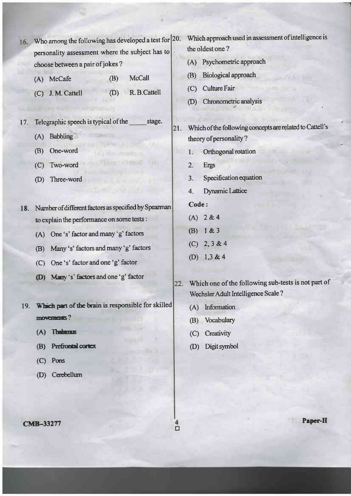- 16. Who among the following has developed a test for 20. personality assessment where the subject has to choose between a pair of jokes?
	- **McCall** (A) McCafe  $(B)$
	- R. B. Cattell (C) J.M. Cattell  $(D)$
- 17. Telegraphic speech is typical of the stage.
	- (A) Babbling
	- (B) One-word
	- (C) Two-word
	- (D) Three-word
- 18. Number of different factors as specified by Spearman to explain the performance on some tests :
	- (A) One 's' factor and many 'g' factors
	- (B) Many 's' factors and many 'g' factors
	- (C) One 's' factor and one 'g' factor
	- (D) Many's' factors and one 'g' factor
- 19. Which part of the brain is responsible for skilled  $m$ overnents?
	- (A) Thelamus
	- (B) Prefrontal cortex
	- $(C)$  Pons
	- (D) Cerebellum
- Which approach used in assessment of intelligence is the oldest one?
- (A) Psychometric approach
- **Biological approach**  $(B)$
- (C) Culture Fair
- (D) Chronometric analysis
- Which of the following concepts are related to Cattell's 21. theory of personality?
	- 1. Orthogonal rotation
	- $\overline{2}$ . **Ergs**
	- Specification equation  $3.$
	- **Dynamic Lattice**  $4.$

## Code:

- $(A) 2 & 4$
- (B)  $1 & 3$
- $(C)$  2, 3 & 4
- (D)  $1,3 & 4$
- Which one of the following sub-tests is not part of 22. Wechsler Adult Intelligence Scale?
	- (A) Information
	- (B) Vocabulary
	- (C) Creativity
	- (D) Digit symbol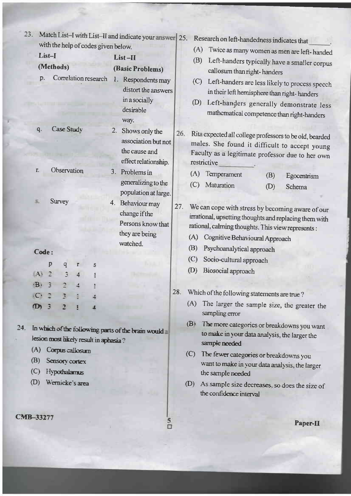|      | 23.                 |              |        |                |                                | with the help of codes given below.   |    | Match List-I with List-II and indicate your answer 25.                               |                                                   |            | Research on left-handedness indicates that                                                                                                                                                                            |     |             |
|------|---------------------|--------------|--------|----------------|--------------------------------|---------------------------------------|----|--------------------------------------------------------------------------------------|---------------------------------------------------|------------|-----------------------------------------------------------------------------------------------------------------------------------------------------------------------------------------------------------------------|-----|-------------|
|      | List-I<br>$List-II$ |              |        |                |                                |                                       |    |                                                                                      | (A)<br>Twice as many women as men are left-handed |            |                                                                                                                                                                                                                       |     |             |
|      |                     |              |        | (Methods)      |                                |                                       |    | (Basic Problems)                                                                     |                                                   | (B)        | Left-handers typically have a smaller corpus                                                                                                                                                                          |     |             |
|      | p.                  |              |        |                |                                | Correlation research                  |    | 1. Respondents may<br>distort the answers<br>in a socially<br>desirable<br>way.      |                                                   | (C)<br>(D) | callosum than right-handers<br>Left-handers are less likely to process speech<br>in their left hemisphere than right-handers<br>Left-handers generally demonstrate less<br>mathematical competence than right-handers |     |             |
|      | q.                  |              |        | Case Study     |                                |                                       | 2. | Shows only the<br>association but not<br>the cause and<br>effect relationship.       | 26.                                               |            | Rita expected all college professors to be old, bearded<br>males. She found it difficult to accept young<br>Faculty as a legitimate professor due to her own<br>restrictive                                           |     |             |
|      | Г.                  |              |        |                | Observation                    |                                       | 3. | Problems in                                                                          |                                                   | (A)        | Temperament                                                                                                                                                                                                           | (B) | Egocentrism |
|      |                     |              |        |                |                                |                                       |    | generalizing to the<br>population at large.                                          |                                                   | (C)        | Maturation                                                                                                                                                                                                            | (D) | Schema      |
|      | 3.                  |              | Survey |                |                                |                                       |    | 4. Behaviour may<br>change if the<br>Persons know that<br>they are being<br>watched. | 27.                                               | (A)        | We can cope with stress by becoming aware of our<br>irrational, upsetting thoughts and replacing them with<br>rational, calming thoughts. This view represents :<br>Cognitive Behavioural Approach                    |     |             |
|      | Code:               |              |        |                |                                |                                       |    |                                                                                      |                                                   | (B)        | Psychoanalytical approach                                                                                                                                                                                             |     |             |
|      |                     | p            |        | $\overline{q}$ | $\mathbf r$                    | S                                     |    |                                                                                      |                                                   | (C)        | Socio-cultural approach                                                                                                                                                                                               |     |             |
|      | $\left  A \right $  | $\mathbf{r}$ |        | 3              | 4                              |                                       |    |                                                                                      |                                                   | (D)        | Biosocial approach                                                                                                                                                                                                    |     |             |
|      | $\cdot$ B $\cdot$   | З            |        | P              |                                |                                       |    |                                                                                      |                                                   |            |                                                                                                                                                                                                                       |     |             |
|      | $\cdot$ C $\cdot$   | $\mathbb{R}$ |        | 3              |                                |                                       |    |                                                                                      | 28.                                               |            | Which of the following statements are true?                                                                                                                                                                           |     |             |
|      | $\mathbf D$         |              |        | n,             |                                |                                       |    |                                                                                      |                                                   | (A)        | The larger the sample size, the greater the<br>sampling error                                                                                                                                                         |     |             |
| 4. . |                     |              |        |                |                                | lesion most likely result in aphasia? |    | In which of the following parts of the brain would                                   |                                                   | (B)        | The more categories or breakdowns you want<br>to make in your data analysis, the larger the<br>sample needed                                                                                                          |     |             |
|      | (A)                 |              |        |                | Corpus callosum                |                                       |    |                                                                                      |                                                   | (C)        | The fewer categories or breakdowns you                                                                                                                                                                                |     |             |
|      | (B)<br>(C)          |              |        |                | Sensory cortex<br>Hypothalamus |                                       |    |                                                                                      |                                                   |            | want to make in your data analysis, the larger<br>the sample needed                                                                                                                                                   |     |             |
|      | (D)                 |              |        |                | Wernicke's area                |                                       |    |                                                                                      |                                                   | (D)        | As sample size decreases, so does the size of<br>the confidence interval                                                                                                                                              |     |             |
|      | MB-33277            |              |        |                |                                |                                       |    | $\Box$                                                                               |                                                   |            |                                                                                                                                                                                                                       |     | Paper-II    |

 $\mathbf C$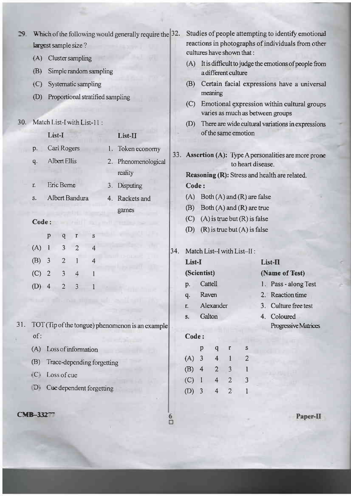| $\mathbf{D}$ | Which of the following would generally require the $ 32$ . |                                       |                |                                                                                 |                                                  |     |                                         | Studies of people attempting to identify emotional |                         |                |                                  |         |                                                        |  |
|--------------|------------------------------------------------------------|---------------------------------------|----------------|---------------------------------------------------------------------------------|--------------------------------------------------|-----|-----------------------------------------|----------------------------------------------------|-------------------------|----------------|----------------------------------|---------|--------------------------------------------------------|--|
|              |                                                            | largest sample size?                  |                | reactions in photographs of individuals from other<br>cultures have shown that: |                                                  |     |                                         |                                                    |                         |                |                                  |         |                                                        |  |
|              | (A)                                                        | <b>Cluster sampling</b>               |                |                                                                                 |                                                  |     | (A)                                     |                                                    |                         |                |                                  |         | It is difficult to judge the emotions of people from   |  |
|              | (B)                                                        | Simple random sampling                |                |                                                                                 |                                                  |     | a different culture                     |                                                    |                         |                |                                  |         |                                                        |  |
|              | (C)                                                        | Systematic sampling                   |                |                                                                                 |                                                  |     | (B)                                     |                                                    |                         |                |                                  |         | Certain facial expressions have a universal            |  |
|              | (D)                                                        | Proportional stratified sampling      |                |                                                                                 |                                                  |     | (C)                                     |                                                    | meaning                 |                |                                  |         | Emotional expression within cultural groups            |  |
|              |                                                            |                                       |                |                                                                                 |                                                  |     |                                         |                                                    |                         |                |                                  |         | varies as much as between groups                       |  |
|              |                                                            | 30. Match List-I with List-11:        |                |                                                                                 |                                                  |     | (D)                                     |                                                    |                         |                |                                  |         | There are wide cultural variations in expressions      |  |
|              |                                                            | List-I                                |                |                                                                                 | List-II                                          |     |                                         |                                                    |                         |                | of the same emotion              |         |                                                        |  |
|              | p.                                                         | Carl Rogers                           |                |                                                                                 | Token economy                                    |     |                                         |                                                    |                         |                |                                  |         |                                                        |  |
|              | q.                                                         | Albert Ellis                          |                | 2.                                                                              | Phenomenological                                 |     |                                         |                                                    |                         |                | to heart disease.                |         | 33. Assertion (A): Type A personalities are more prone |  |
|              |                                                            |                                       |                |                                                                                 | reality                                          |     |                                         |                                                    |                         |                |                                  |         | Reasoning (R): Stress and health are related.          |  |
|              | r.                                                         | Eric Berne                            |                | 3.                                                                              | Disputing                                        |     | Code:                                   |                                                    |                         |                |                                  |         |                                                        |  |
|              | S.                                                         | Albert Bandura                        |                |                                                                                 | 4. Rackets and                                   |     | (A)                                     |                                                    |                         |                | Both $(A)$ and $(R)$ are false   |         |                                                        |  |
|              |                                                            |                                       |                |                                                                                 | games                                            |     | (B)<br>Both $(A)$ and $(R)$ are true    |                                                    |                         |                |                                  |         |                                                        |  |
|              |                                                            | Code:                                 |                |                                                                                 |                                                  |     | $(A)$ is true but $(R)$ is false<br>(C) |                                                    |                         |                |                                  |         |                                                        |  |
|              |                                                            | p<br>q<br>r                           | S              |                                                                                 |                                                  |     | (D)                                     |                                                    |                         |                | $(R)$ is true but $(A)$ is false |         |                                                        |  |
|              | (A)                                                        | $-1$<br>3<br>$\overline{2}$           | 4              |                                                                                 |                                                  | 34. |                                         |                                                    |                         |                |                                  |         |                                                        |  |
|              | (B)                                                        | 3<br>$\overline{2}$<br>1              | $\overline{4}$ |                                                                                 |                                                  |     | Match List-I with List-II:<br>List-I    |                                                    |                         |                |                                  | List-II |                                                        |  |
|              | (C)                                                        | 3<br>$\overline{2}$<br>$\overline{4}$ |                |                                                                                 |                                                  |     |                                         | (Scientist)                                        |                         |                |                                  |         | (Name of Test)                                         |  |
|              | $(D)$ 4                                                    | $\overline{2}$<br>$\mathfrak{Z}$      |                |                                                                                 |                                                  |     | p.                                      | Cattell                                            |                         |                |                                  |         | 1. Pass - along Test                                   |  |
|              |                                                            |                                       |                |                                                                                 |                                                  |     | q.                                      | Raven                                              |                         |                |                                  |         | 2. Reaction time                                       |  |
|              |                                                            |                                       |                |                                                                                 |                                                  |     | r.                                      |                                                    | Alexander               |                |                                  |         | 3. Culture free test                                   |  |
| 31.          |                                                            |                                       |                |                                                                                 | TOT (Tip of the tongue) phenomenon is an example |     | S.                                      | Galton                                             |                         |                |                                  |         | 4. Coloured<br>Progressive Matrices                    |  |
|              | of:                                                        |                                       |                |                                                                                 |                                                  |     | Code:                                   |                                                    |                         |                |                                  |         |                                                        |  |
|              | (A)                                                        | Loss of information                   |                |                                                                                 |                                                  |     |                                         | $\mathbf p$                                        | $\mathbf{q}$            | r              | S                                |         |                                                        |  |
|              | (B)                                                        | Trace-depending forgetting            |                |                                                                                 |                                                  |     | $(A)$ 3                                 |                                                    | $\overline{\mathbf{4}}$ | $\mathbf{1}$   | 2                                |         |                                                        |  |
|              | (C)                                                        | Loss of cue                           |                |                                                                                 |                                                  |     | $(B)$ 4                                 |                                                    | $\overline{2}$          | 3              |                                  |         |                                                        |  |
|              |                                                            |                                       |                |                                                                                 |                                                  |     | (C)                                     | $\mathbf{I}$                                       | $\overline{4}$          | $\overline{2}$ | 3                                |         |                                                        |  |
|              | $D_i$                                                      | Cue dependent forgetting              |                |                                                                                 |                                                  |     | $(D)$ 3                                 |                                                    | $\overline{\mathbf{4}}$ | $\overline{2}$ |                                  |         |                                                        |  |
|              |                                                            |                                       |                |                                                                                 |                                                  |     |                                         |                                                    |                         |                |                                  |         |                                                        |  |
|              | $CMB-332$                                                  |                                       |                |                                                                                 |                                                  |     |                                         |                                                    |                         |                |                                  |         | Paper-II                                               |  |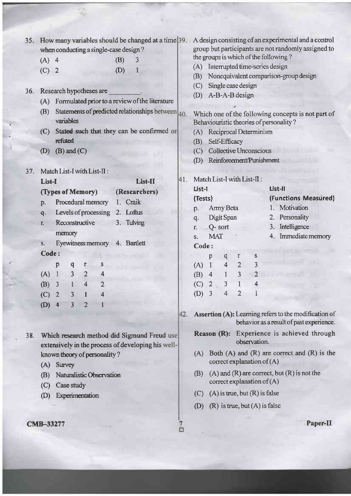| 35. How many variables should be changed at a time 39.<br>when conducting a single-case design?<br>$(A)$ 4<br>(B)<br>3<br>(C)<br>(D)<br>$\overline{2}$<br>Research hypotheses are<br>36.<br>Formulated prior to a review of the literature<br>(A)<br>Statements of predicted relationships between 40.<br>(B)<br>variables<br>Stated such that they can be confirmed or<br>(C)<br>refuted<br>$(B)$ and $(C)$<br>(D)                      | A design consisting of an experimental and a control<br>group but participants are not randomly assigned to<br>the groups is which of the following?<br>Interrupted time-series design<br>(A)<br>Nonequivalent comparison-group design<br>(B)<br>Single case design<br>(C)<br>A-B-A-B design<br>(D)<br>Which one of the following concepts is not part of<br>Behaviouristic theories of personality?<br>Reciprocal Determinism<br>(A)<br>Self-Efficacy<br>(B)<br>Collective Unconscious<br>(C)<br>Reinforcement/Punishment<br>(D)                                                 |  |  |  |  |  |
|------------------------------------------------------------------------------------------------------------------------------------------------------------------------------------------------------------------------------------------------------------------------------------------------------------------------------------------------------------------------------------------------------------------------------------------|-----------------------------------------------------------------------------------------------------------------------------------------------------------------------------------------------------------------------------------------------------------------------------------------------------------------------------------------------------------------------------------------------------------------------------------------------------------------------------------------------------------------------------------------------------------------------------------|--|--|--|--|--|
| Match List-I with List-II :<br>37.<br>List-II<br>List-I<br>(Researchers)<br>(Types of Memory)<br>Procedural memory<br>1. Craik<br>p.<br>Levels of processing<br>2. Loftus<br>q.<br>Reconstructive<br>3. Tulving<br>Т.<br>memory<br>Eyewitness memory<br>4. Bartlett<br>S.<br>Code:<br>O.<br>p<br>q<br>r<br>S<br>$\overline{2}$<br>3<br>(A)<br>$\mathbf{1}$<br>4<br>(B)<br>4<br>3<br>$\overline{2}$<br>3<br>(C)<br>4<br>$(D)$ 4<br>3<br>2 | Match List-I with List-II:<br>41.<br>List-II<br>List-1<br>(Functions Measured)<br>(Tests)<br>1. Motivation<br>Army Beta<br>p.<br>2. Personality<br>Digit Span<br>q.<br>3. Intelligence<br>Q-sort<br>r.<br>4. Immediate memory<br><b>MAT</b><br>S.<br>Code:<br>r<br>S<br>p<br>q<br>3<br>$\overline{2}$<br>$\mathbf{1}$<br>4<br>(A)<br>3<br>$\mathbf{1}$<br>(B)<br>$\overline{4}$<br>3<br>$\mathbf{1}$<br>$\overline{2}$<br>(C)<br>4<br>$\overline{2}$<br>3<br>4<br>(D)<br>Assertion (A): Learning refers to the modification of<br>42.<br>behavior as a result of past experience. |  |  |  |  |  |
| Which research method did Sigmund Freud use<br>38.<br>extensively in the process of developing his well-<br>known theory of personality?<br>Survey<br>(A)<br>Naturalistic Observation<br>(B)<br>(C)<br>Case study<br>Experimentation<br>(D)<br><b>CMB-33277</b>                                                                                                                                                                          | Reason (R): Experience is achieved through<br>observation.<br>Both $(A)$ and $(R)$ are correct and $(R)$ is the<br>(A)<br>correct explanation of $(A)$<br>$(A)$ and $(R)$ are correct, but $(R)$ is not the<br>(B)<br>correct explanation of $(A)$<br>$(A)$ is true, but $(R)$ is false<br>(C)<br>$(R)$ is true, but $(A)$ is false<br>(D)<br>Paper-II<br>Ω                                                                                                                                                                                                                       |  |  |  |  |  |

×